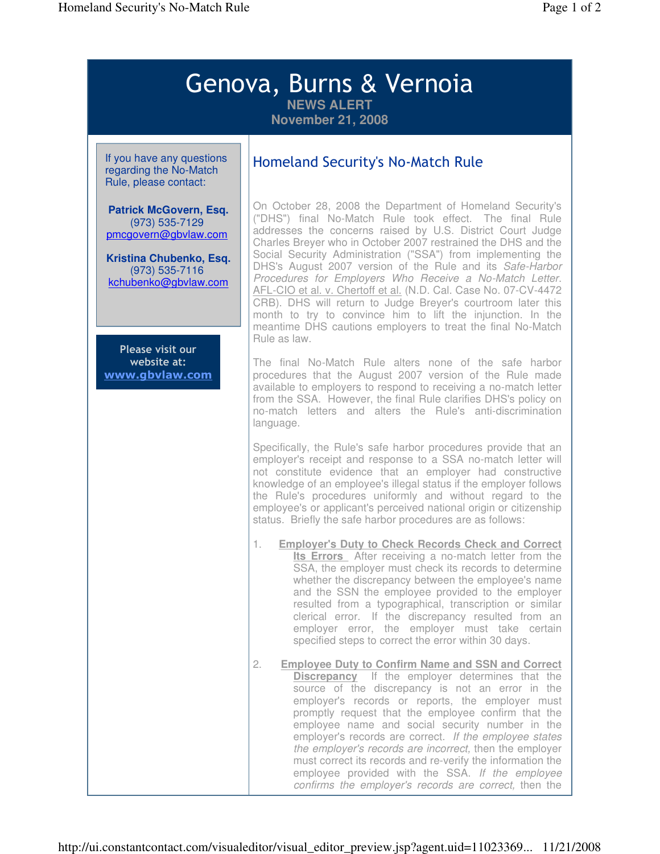## Genova, Burns & Vernoia **NEWS ALERT**

**November 21, 2008**

If you have any questions regarding the No-Match Rule, please contact:

**Patrick McGovern, Esq.** (973) 535-7129 pmcgovern@gbvlaw.com

**Kristina Chubenko, Esq.** (973) 535-7116 kchubenko@gbvlaw.com

Please visit our website at: www.gbvlaw.com

## Homeland Security's No-Match Rule

On October 28, 2008 the Department of Homeland Security's ("DHS") final No-Match Rule took effect. The final Rule addresses the concerns raised by U.S. District Court Judge Charles Breyer who in October 2007 restrained the DHS and the Social Security Administration ("SSA") from implementing the DHS's August 2007 version of the Rule and its Safe-Harbor Procedures for Employers Who Receive a No-Match Letter. AFL-CIO et al. v. Chertoff et al. (N.D. Cal. Case No. 07-CV-4472 CRB). DHS will return to Judge Breyer's courtroom later this month to try to convince him to lift the injunction. In the meantime DHS cautions employers to treat the final No-Match Rule as law.

The final No-Match Rule alters none of the safe harbor procedures that the August 2007 version of the Rule made available to employers to respond to receiving a no-match letter from the SSA. However, the final Rule clarifies DHS's policy on no-match letters and alters the Rule's anti-discrimination language.

Specifically, the Rule's safe harbor procedures provide that an employer's receipt and response to a SSA no-match letter will not constitute evidence that an employer had constructive knowledge of an employee's illegal status if the employer follows the Rule's procedures uniformly and without regard to the employee's or applicant's perceived national origin or citizenship status. Briefly the safe harbor procedures are as follows:

- 1. **Employer's Duty to Check Records Check and Correct Its Errors** After receiving a no-match letter from the SSA, the employer must check its records to determine whether the discrepancy between the employee's name and the SSN the employee provided to the employer resulted from a typographical, transcription or similar clerical error. If the discrepancy resulted from an employer error, the employer must take certain specified steps to correct the error within 30 days.
- 2. **Employee Duty to Confirm Name and SSN and Correct Discrepancy** If the employer determines that the source of the discrepancy is not an error in the employer's records or reports, the employer must promptly request that the employee confirm that the employee name and social security number in the employer's records are correct. If the employee states the employer's records are incorrect, then the employer must correct its records and re-verify the information the employee provided with the SSA. If the employee confirms the employer's records are correct, then the